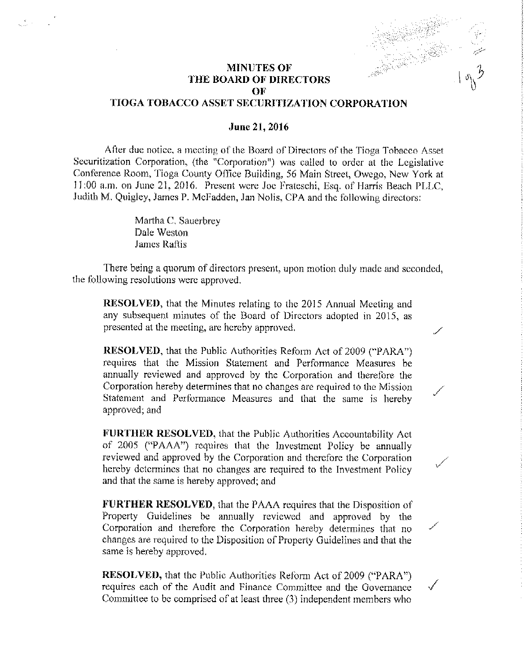V

## MINUTES OF THE BOARD OF DIRECTORS OF

## TIOGA TOBACCO ASSET SECURITIZATION CORPORATION

## June 21, 2016

After due notice, a meeting of the Board of Directors of the Tioga Tobacco Asset Securitization Corporation, (the "Corporation") was called to order at the Legislative Conference Room, Tioga County Office Building, 56 Main Street, Owego, New York at 11:00 a.m. on June 21, 2016. Present were Joe Frateschi, Esq. of Harris Beach PLLC, Judith M. Quigley, James P. McFadden, Jan Nolis, CPA. and the following directors:

> Martha C. Sauerbrey Dale Weston James Raftis

 $\mathcal{L}^{\mathcal{F}}$  and  $\mathcal{L}^{\mathcal{F}}$ 

There being a quorum of directors present, upon motion duly made and seconded, the following resolutions were approved.

RESOLVED, that the Minutes relating to the 2015 Annual Meeting and any subsequent minutes of the Board of Directors adopted in 2015, as presented at the meeting, are hereby approved,

RESOLVED, that the Public Authorities Reform Act of 2009 ("PARA") requires that the Mission Statement and. Performance Measures be annually reviewed and approved by the Corporation and therefore the Corporation hereby determines that no changes are required to the Mission Statement and Performance Measures and that the same is hereby approved: and

FURTHER RESOLVED, that the Public Authorities Accountability Act of 2005 ("PAAA") requires that the Investment Policy be annually reviewed and approved by the Corporation and therefore the Corporation hereby determines that no changes are required to the Investment Policy and that the same is hereby approved; and

FURTHER RESOLVED, that the PAAA requires that the Disposition of Property Guidelines be annually reviewed and approved by the Corporation and therefore the Corporation hereby determines that no changes are required to the Disposition of Property Guidelines and that the same is hereby approved.

RESOLVED, that the Public Authorities Reform Act of 2009 ("PARA") requires each of the Audit and Finance Committee and the Governance Committee to be comprised of at least three (3) independent members who